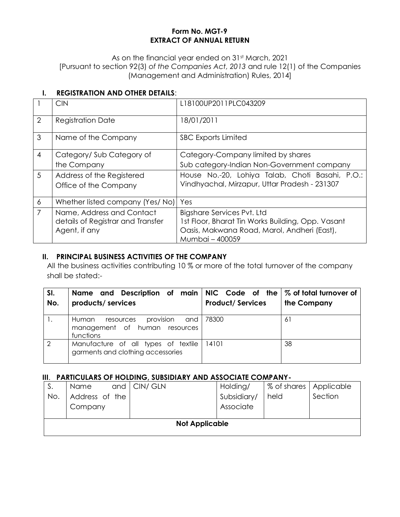### **Form No. MGT-9 EXTRACT OF ANNUAL RETURN**

As on the financial year ended on 31st March, 2021 [Pursuant to section 92(3) *of the Companies Act, 2013* and rule 12(1) of the Companies (Management and Administration) Rules, 2014]

# **I. REGISTRATION AND OTHER DETAILS**:

|                | <b>CIN</b>                                                                      | L18100UP2011PLC043209                                                                                                                             |
|----------------|---------------------------------------------------------------------------------|---------------------------------------------------------------------------------------------------------------------------------------------------|
| 2              | <b>Registration Date</b>                                                        | 18/01/2011                                                                                                                                        |
| 3              | Name of the Company                                                             | <b>SBC Exports Limited</b>                                                                                                                        |
| $\overline{4}$ | Category/Sub Category of                                                        | Category-Company limited by shares                                                                                                                |
|                | the Company                                                                     | Sub category-Indian Non-Government company                                                                                                        |
| 5              | Address of the Registered                                                       | House No.-20, Lohiya Talab, Choti Basahi, P.O.:                                                                                                   |
|                | Office of the Company                                                           | Vindhyachal, Mirzapur, Uttar Pradesh - 231307                                                                                                     |
| 6              | Whether listed company (Yes/No)                                                 | Yes                                                                                                                                               |
| $\overline{7}$ | Name, Address and Contact<br>details of Registrar and Transfer<br>Agent, if any | Bigshare Services Pvt. Ltd<br>1st Floor, Bharat Tin Works Building, Opp. Vasant<br>Oasis, Makwana Road, Marol, Andheri (East),<br>Mumbai - 400059 |

## **II. PRINCIPAL BUSINESS ACTIVITIES OF THE COMPANY**

All the business activities contributing 10 % or more of the total turnover of the company shall be stated:-

| SI.<br>No. | Name and Description of main NIC Code of the $\%$ of total turnover of<br>products/ services | <b>Product/Services</b> | the Company |
|------------|----------------------------------------------------------------------------------------------|-------------------------|-------------|
|            | provision and<br>Human<br>resources<br>management of human resources<br>functions            | 78300                   | -61         |
| 2          | Manufacture of all types of textile<br>garments and clothing accessories                     | 14101                   | 38          |

### **III**. **PARTICULARS OF HOLDING, SUBSIDIARY AND ASSOCIATE COMPANY-**

| S.  | Name           | and   CIN/ GLN        | Holding/    | % of shares   Applicable |         |
|-----|----------------|-----------------------|-------------|--------------------------|---------|
| No. | Address of the |                       | Subsidiary/ | held                     | Section |
|     | Company        |                       | Associate   |                          |         |
|     |                |                       |             |                          |         |
|     |                | <b>Not Applicable</b> |             |                          |         |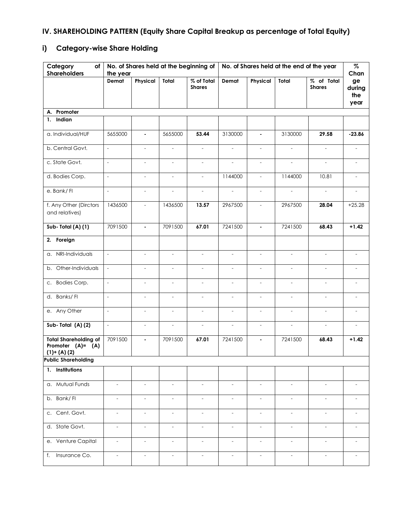# **IV. SHAREHOLDING PATTERN (Equity Share Capital Breakup as percentage of Total Equity)**

# **i) Category-wise Share Holding**

| Category<br>of<br><b>Shareholders</b>                             | the year                 |                          |                          | No. of Shares held at the beginning of |                          |                          |                          | No. of Shares held at the end of the year | $\%$<br>Chan                |
|-------------------------------------------------------------------|--------------------------|--------------------------|--------------------------|----------------------------------------|--------------------------|--------------------------|--------------------------|-------------------------------------------|-----------------------------|
|                                                                   | Demat                    | Physical                 | Total                    | % of Total<br><b>Shares</b>            | Demat                    | Physical                 | Total                    | % of Total<br><b>Shares</b>               | ge<br>during<br>the<br>year |
| A. Promoter                                                       |                          |                          |                          |                                        |                          |                          |                          |                                           |                             |
| 1. Indian                                                         |                          |                          |                          |                                        |                          |                          |                          |                                           |                             |
| a. Individual/HUF                                                 | 5655000                  | $\blacksquare$           | 5655000                  | 53.44                                  | 3130000                  | $\blacksquare$           | 3130000                  | 29.58                                     | $-23.86$                    |
| b. Central Govt.                                                  | $\overline{a}$           | $\blacksquare$           | $\blacksquare$           | $\blacksquare$                         | $\overline{\phantom{a}}$ | $\overline{\phantom{a}}$ | $\equiv$                 | $\overline{\phantom{a}}$                  |                             |
| c. State Govt.                                                    | $\overline{\phantom{a}}$ | $\overline{\phantom{a}}$ | $\sim$                   | $\overline{\phantom{a}}$               | $\overline{a}$           | $\overline{\phantom{a}}$ | $\overline{a}$           | $\frac{1}{2}$                             |                             |
| d. Bodies Corp.                                                   | $\overline{\phantom{a}}$ | $\qquad \qquad -$        | $\blacksquare$           | $\blacksquare$                         | 1144000                  | $\blacksquare$           | 1144000                  | 10.81                                     | $\overline{\phantom{a}}$    |
| e. Bank/FI                                                        | $\overline{\phantom{a}}$ | $\overline{\phantom{a}}$ | $\overline{\phantom{a}}$ | $\overline{\phantom{a}}$               | $\overline{\phantom{a}}$ | $\overline{\phantom{a}}$ | $\overline{\phantom{a}}$ | $\overline{\phantom{a}}$                  |                             |
| f. Any Other (Dirctors<br>and relatives)                          | 1436500                  | $\blacksquare$           | 1436500                  | 13.57                                  | 2967500                  | $\sim$                   | 2967500                  | 28.04                                     | $+25.28$                    |
| Sub-Total (A) (1)                                                 | 7091500                  | $\blacksquare$           | 7091500                  | 67.01                                  | 7241500                  | $\blacksquare$           | 7241500                  | 68.43                                     | $+1.42$                     |
| 2. Foreign                                                        |                          |                          |                          |                                        |                          |                          |                          |                                           |                             |
| a. NRI-Individuals                                                | $\overline{\phantom{a}}$ | $\bar{\phantom{a}}$      | $\overline{\phantom{a}}$ | $\overline{\phantom{a}}$               | $\overline{\phantom{a}}$ | $\overline{\phantom{a}}$ | $\overline{\phantom{a}}$ | $\overline{\phantom{a}}$                  | $\overline{\phantom{a}}$    |
| b. Other-Individuals                                              | $\overline{\phantom{a}}$ | $\overline{a}$           |                          | $\overline{a}$                         | $\overline{a}$           |                          | $\overline{a}$           |                                           |                             |
| Bodies Corp.<br>C.                                                | $\overline{\phantom{a}}$ | $\overline{\phantom{a}}$ | $\overline{\phantom{a}}$ | $\overline{\phantom{a}}$               | $\overline{\phantom{a}}$ | $\overline{\phantom{a}}$ | $\overline{\phantom{a}}$ | $\overline{\phantom{a}}$                  | $\sim$                      |
| d. Banks/FI                                                       | $\overline{\phantom{a}}$ | $\overline{\phantom{a}}$ | $\overline{\phantom{a}}$ | $\overline{\phantom{a}}$               | $\overline{\phantom{a}}$ | $\overline{\phantom{a}}$ | $\overline{\phantom{a}}$ | $\overline{\phantom{a}}$                  |                             |
| e. Any Other                                                      | $\overline{\phantom{a}}$ | $\overline{\phantom{a}}$ | $\equiv$                 | $\overline{\phantom{a}}$               | $\overline{\phantom{0}}$ | $\equiv$                 | $\equiv$                 | $\overline{\phantom{a}}$                  | $\overline{\phantom{a}}$    |
| Sub-Total (A)(2)                                                  | $\mathbb{L}$             | $\blacksquare$           | $\blacksquare$           | $\overline{\phantom{a}}$               | $\overline{\phantom{a}}$ | $\blacksquare$           | $\equiv$                 | $\overline{\phantom{a}}$                  | $\overline{\phantom{a}}$    |
| <b>Total Shareholding of</b><br>Promoter (A)= (A)<br>$(1)+(A)(2)$ | 7091500                  | $\blacksquare$           | 7091500                  | 67.01                                  | 7241500                  | $\blacksquare$           | 7241500                  | 68.43                                     | $+1.42$                     |
| <b>Public Shareholding</b>                                        |                          |                          |                          |                                        |                          |                          |                          |                                           |                             |
| 1. Institutions                                                   |                          |                          |                          |                                        |                          |                          |                          |                                           |                             |
| a. Mutual Funds                                                   | $\blacksquare$           | $\blacksquare$           | $\blacksquare$           | $\blacksquare$                         | $\overline{\phantom{a}}$ | $\overline{\phantom{a}}$ | $\blacksquare$           | $\overline{\phantom{a}}$                  |                             |
| b. Bank/FI                                                        | $\overline{\phantom{a}}$ | $\overline{\phantom{a}}$ | $\overline{\phantom{a}}$ | $\overline{\phantom{a}}$               | $\overline{\phantom{a}}$ | $\overline{\phantom{a}}$ | $\overline{\phantom{a}}$ | $\overline{\phantom{a}}$                  |                             |
| c. Cent. Govt.                                                    | $\overline{\phantom{a}}$ | $\overline{\phantom{a}}$ | $\overline{\phantom{a}}$ | $\overline{\phantom{a}}$               | $\overline{\phantom{a}}$ | $\overline{\phantom{a}}$ | $\overline{\phantom{a}}$ | $\overline{a}$                            |                             |
| d. State Govt.                                                    | $\overline{\phantom{0}}$ | $\overline{\phantom{a}}$ | $\overline{\phantom{a}}$ | $\overline{\phantom{a}}$               | $\overline{\phantom{a}}$ | $\blacksquare$           | $\qquad \qquad -$        | $\overline{\phantom{a}}$                  | $\overline{\phantom{a}}$    |
| e. Venture Capital                                                | $\overline{\phantom{a}}$ | $\overline{\phantom{a}}$ | $\overline{\phantom{a}}$ | $\overline{\phantom{a}}$               | $\overline{\phantom{a}}$ | $\overline{\phantom{a}}$ | $\overline{\phantom{a}}$ | $\overline{\phantom{a}}$                  | $\overline{\phantom{a}}$    |
| Insurance Co.<br>f.                                               | $\overline{\phantom{0}}$ | $\overline{\phantom{a}}$ | $\blacksquare$           | $\overline{\phantom{a}}$               | $\overline{\phantom{a}}$ | $\overline{\phantom{a}}$ | $\overline{\phantom{a}}$ | $\overline{\phantom{a}}$                  | $\overline{\phantom{a}}$    |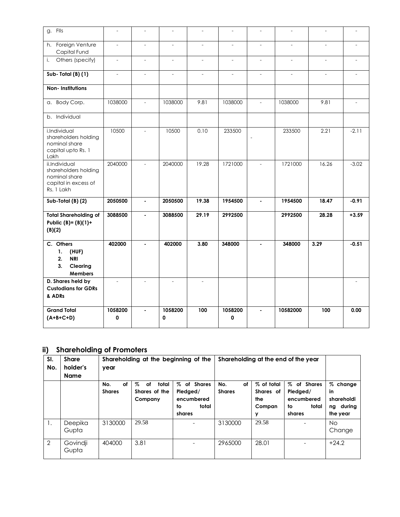| g. Flls                                                                                      | $\overline{a}$           | $\sim$                   | $\overline{\phantom{a}}$ | $\overline{a}$           | $\overline{\phantom{a}}$ |                |          | $\overline{\phantom{a}}$ |         |
|----------------------------------------------------------------------------------------------|--------------------------|--------------------------|--------------------------|--------------------------|--------------------------|----------------|----------|--------------------------|---------|
| h. Foreign Venture<br>Capital Fund                                                           | $\overline{a}$           | $\overline{\phantom{a}}$ | $\overline{a}$           | $\overline{a}$           | $\frac{1}{2}$            |                |          | $\frac{1}{2}$            |         |
| Others (specify)<br>i.                                                                       | $\overline{\phantom{a}}$ | $\blacksquare$           | $\equiv$                 | $\overline{\phantom{0}}$ | $\overline{\phantom{0}}$ | $\equiv$       | $\equiv$ | $\overline{\phantom{a}}$ |         |
| Sub-Total (B) (1)                                                                            |                          | $\overline{a}$           | $\overline{a}$           | $\overline{a}$           | $\overline{a}$           |                |          | $\overline{\phantom{a}}$ |         |
| Non-Institutions                                                                             |                          |                          |                          |                          |                          |                |          |                          |         |
| a. Body Corp.                                                                                | 1038000                  | $\overline{a}$           | 1038000                  | 9.81                     | 1038000                  |                | 1038000  | 9.81                     |         |
| b. Individual                                                                                |                          |                          |                          |                          |                          |                |          |                          |         |
| i.Individual<br>shareholders holding<br>nominal share<br>capital upto Rs. 1<br>Lakh          | 10500                    | $\overline{a}$           | 10500                    | 0.10                     | 233500                   | $\overline{a}$ | 233500   | 2.21                     | $-2.11$ |
| ii.Individual<br>shareholders holding<br>nominal share<br>capital in excess of<br>Rs. 1 Lakh | 2040000                  | $\overline{\phantom{a}}$ | 2040000                  | 19.28                    | 1721000                  |                | 1721000  | 16.26                    | $-3.02$ |
| Sub-Total (B) (2)                                                                            | 2050500                  | $\mathbf{r}$             | 2050500                  | 19.38                    | 1954500                  | $\blacksquare$ | 1954500  | 18.47                    | $-0.91$ |
| <b>Total Shareholding of</b><br>Public (B)= $(B)(1)+$<br>(B)(2)                              | 3088500                  | $\mathbf{r}$             | 3088500                  | 29.19                    | 2992500                  |                | 2992500  | 28.28                    | $+3.59$ |
| C. Others<br>1.<br>(HUF)<br><b>NRI</b><br>2.<br>3.<br>Clearing<br><b>Members</b>             | 402000                   | $\mathbf{r}$             | 402000                   | 3.80                     | 348000                   |                | 348000   | 3.29                     | $-0.51$ |
| D. Shares held by<br><b>Custodians for GDRs</b><br>& ADRs                                    | $\overline{a}$           | $\overline{a}$           | $\overline{a}$           | $\overline{\phantom{a}}$ |                          |                |          |                          |         |
| <b>Grand Total</b><br>$(A+B+C+D)$                                                            | 1058200<br>0             | $\mathbf{r}$             | 1058200<br>0             | 100                      | 1058200<br>0             | $\blacksquare$ | 10582000 | 100                      | 0.00    |

# **ii) Shareholding of Promoters**

| SI.<br>No.     | <b>Share</b><br>holder's<br><b>Name</b> | year                       | Shareholding at the beginning of the            |                                                                |                            | Shareholding at the end of the year           |                                                                |                                                       |  |
|----------------|-----------------------------------------|----------------------------|-------------------------------------------------|----------------------------------------------------------------|----------------------------|-----------------------------------------------|----------------------------------------------------------------|-------------------------------------------------------|--|
|                |                                         | οf<br>No.<br><b>Shares</b> | $\%$<br>total<br>оf<br>Shares of the<br>Company | % of Shares<br>Pledged/<br>encumbered<br>total<br>to<br>shares | No.<br>οf<br><b>Shares</b> | % of total<br>Shares of<br>the<br>Compan<br>У | % of Shares<br>Pledged/<br>encumbered<br>total<br>to<br>shares | % change<br>in<br>shareholdi<br>ng during<br>the year |  |
| 1.             | Deepika<br>Gupta                        | 3130000                    | 29.58                                           |                                                                | 3130000                    | 29.58                                         |                                                                | No.<br>Change                                         |  |
| $\overline{2}$ | Govindji<br>Gupta                       | 404000                     | 3.81                                            |                                                                | 2965000                    | 28.01                                         |                                                                | $+24.2$                                               |  |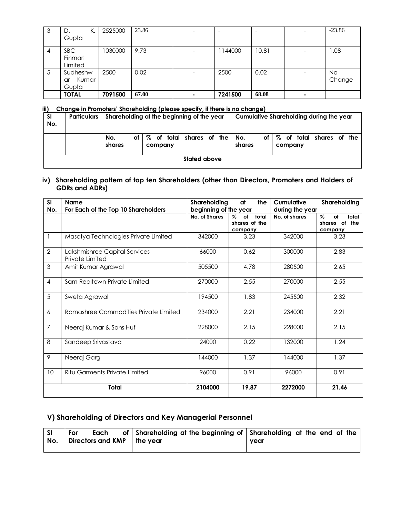| 3  | К.<br>D.<br>Gupta                | 2525000 | 23.86 |                          |         |       |                          | $-23.86$      |
|----|----------------------------------|---------|-------|--------------------------|---------|-------|--------------------------|---------------|
|    |                                  |         |       |                          |         |       |                          |               |
| -4 | SBC.<br>Finmart<br>Limited       | 1030000 | 9.73  | $\overline{\phantom{0}}$ | 1144000 | 10.81 | $\overline{\phantom{0}}$ | 1.08          |
| 5  | Sudheshw<br>Kumar<br>ar<br>Gupta | 2500    | 0.02  |                          | 2500    | 0.02  |                          | No.<br>Change |
|    | <b>TOTAL</b>                     | 7091500 | 67.00 | -                        | 7241500 | 68.08 | $\overline{\phantom{0}}$ |               |

#### **iii) Change in Promoters' Shareholding (please specify, if there is no change)**

| <b>SI</b><br>No. | <b>Particulars</b> |                     | Shareholding at the beginning of the year | Cumulative Shareholding during the year                       |  |  |  |  |  |  |
|------------------|--------------------|---------------------|-------------------------------------------|---------------------------------------------------------------|--|--|--|--|--|--|
|                  |                    | No.<br>of<br>shares | of total shares of the<br>%<br>company    | of total shares of the<br>No.<br>z<br>οf<br>shares<br>company |  |  |  |  |  |  |
|                  | Stated above       |                     |                                           |                                                               |  |  |  |  |  |  |

#### **iv) Shareholding pattern of top ten Shareholders (other than Directors, Promoters and Holders of GDRs and ADRs)**

| SI             | <b>Name</b>                                      | Shareholding          | at<br>the                                       | Cumulative      | Shareholding                                    |
|----------------|--------------------------------------------------|-----------------------|-------------------------------------------------|-----------------|-------------------------------------------------|
| No.            | For Each of the Top 10 Shareholders              | beginning of the year |                                                 | during the year |                                                 |
|                |                                                  | No. of Shares         | total<br>$\%$<br>οf<br>shares of the<br>company | No. of shares   | $\%$<br>total<br>of<br>shares of the<br>company |
|                | Masatya Technologies Private Limited             | 342000                | 3.23                                            | 342000          | 3.23                                            |
| $\overline{2}$ | Lakshmishree Capital Services<br>Private Limited | 66000                 | 0.62                                            | 300000          | 2.83                                            |
| 3              | Amit Kumar Agrawal                               | 505500                | 4.78                                            | 280500          | 2.65                                            |
| $\overline{4}$ | Sam Realtown Private Limited                     | 270000                | 2.55                                            | 270000          | 2.55                                            |
| 5              | Sweta Agrawal                                    | 194500                | 1.83                                            | 245500          | 2.32                                            |
| 6              | Ramashree Commodities Private Limited            | 234000                | 2.21                                            | 234000          | 2.21                                            |
| $\overline{7}$ | Neeraj Kumar & Sons Huf                          | 228000                | 2.15                                            | 228000          | 2.15                                            |
| 8              | Sandeep Srivastava                               | 24000                 | 0.22                                            | 132000          | 1.24                                            |
| 9              | Neeraj Garg                                      | 144000                | 1.37                                            | 144000          | 1.37                                            |
| 10             | Ritu Garments Private Limited                    | 96000                 | 0.91                                            | 96000           | 0.91                                            |
|                | Total                                            | 2104000               | 19.87                                           | 2272000         | 21.46                                           |

# **V) Shareholding of Directors and Key Managerial Personnel**

| l SI<br>No. | For | Each<br>Directors and KMP |  | of Shareholding at the beginning of Shareholding at the end of the<br>l the vear | vear |  |  |  |  |
|-------------|-----|---------------------------|--|----------------------------------------------------------------------------------|------|--|--|--|--|
|-------------|-----|---------------------------|--|----------------------------------------------------------------------------------|------|--|--|--|--|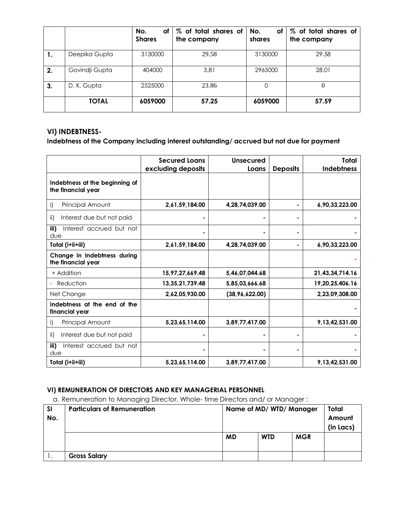|    |                | No.<br>оf<br><b>Shares</b> | % of total shares of<br>the company | No.<br>οf<br>shares | % of total shares of<br>the company |
|----|----------------|----------------------------|-------------------------------------|---------------------|-------------------------------------|
| ι. | Deepika Gupta  | 3130000                    | 29.58                               | 3130000             | 29.58                               |
| 2. | Govindii Gupta | 404000                     | 3.81                                | 2965000             | 28.01                               |
| 3. | D. K. Gupta    | 2525000                    | 23.86                               | O                   | $\theta$                            |
|    | <b>TOTAL</b>   | 6059000                    | 57.25                               | 6059000             | 57.59                               |

## **VI) INDEBTNESS-**

**Indebtness of the Company including interest outstanding/ accrued but not due for payment**

|                                                      | <b>Secured Loans</b><br>excluding deposits | Unsecured<br>Loans | <b>Deposits</b> | Total<br><b>Indebtness</b> |
|------------------------------------------------------|--------------------------------------------|--------------------|-----------------|----------------------------|
| Indebtness at the beginning of<br>the financial year |                                            |                    |                 |                            |
| Principal Amount<br>i)                               | 2,61,59,184.00                             | 4,28,74,039.00     |                 | 6,90,33,223.00             |
| Interest due but not paid<br>ii)                     |                                            |                    |                 |                            |
| iii)<br>Interest accrued but not<br>due              |                                            |                    |                 |                            |
| Total (i+ii+iii)                                     | 2,61,59,184.00                             | 4,28,74,039.00     | ٠               | 6,90,33,223.00             |
| Change in Indebtness during<br>the financial year    |                                            |                    |                 |                            |
| + Addition                                           | 15,97,27,669.48                            | 5,46,07,044.68     |                 | 21,43,34,714.16            |
| Reduction                                            | 13, 35, 21, 739. 48                        | 5,85,03,666.68     |                 | 19,20,25,406.16            |
| Net Change                                           | 2.62.05.930.00                             | (38,96,622.00)     |                 | 2,23,09,308.00             |
| Indebtness at the end of the<br>financial year       |                                            |                    |                 |                            |
| Principal Amount<br>i)                               | 5,23,65,114.00                             | 3,89,77,417.00     |                 | 9,13,42,531.00             |
| ii)<br>Interest due but not paid                     |                                            |                    |                 |                            |
| iii)<br>Interest accrued but not<br>due              |                                            |                    |                 |                            |
| Total (i+ii+iii)                                     | 5,23,65,114.00                             | 3,89,77,417.00     |                 | 9,13,42,531.00             |

### **VI) REMUNERATION OF DIRECTORS AND KEY MANAGERIAL PERSONNEL**

a. Remuneration to Managing Director, Whole- time Directors and/ or Manager :

| <b>SI</b><br>No. | <b>Particulars of Remuneration</b> | Name of MD/WTD/Manager |            |            | Total<br>Amount<br>(in Lacs) |
|------------------|------------------------------------|------------------------|------------|------------|------------------------------|
|                  |                                    | <b>MD</b>              | <b>WTD</b> | <b>MGR</b> |                              |
|                  | <b>Gross Salary</b>                |                        |            |            |                              |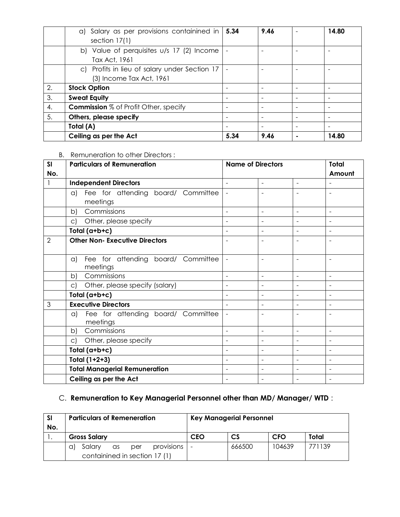|    | a) Salary as per provisions containined in   5.34<br>section $17(1)$                     |      | 9.46                     |                              | 14.80 |
|----|------------------------------------------------------------------------------------------|------|--------------------------|------------------------------|-------|
|    | b) Value of perquisites $u/s$ 17 (2) Income<br>$\overline{\phantom{a}}$<br>Tax Act, 1961 |      |                          |                              |       |
|    | c) Profits in lieu of salary under Section $17$ -<br>(3) Income Tax Act, 1961            |      |                          |                              |       |
| 2. | <b>Stock Option</b>                                                                      |      |                          |                              |       |
| 3. | <b>Sweat Equity</b>                                                                      |      |                          |                              |       |
| 4. | <b>Commission</b> % of Profit Other, specify                                             |      |                          |                              |       |
| 5. | Others, please specify                                                                   |      | $\overline{\phantom{a}}$ | $\qquad \qquad \blacksquare$ |       |
|    | Total (A)                                                                                |      |                          |                              |       |
|    | Ceiling as per the Act                                                                   | 5.34 | 9.46                     |                              | 14.80 |

#### B. Remuneration to other Directors :

| SI             | <b>Particulars of Remuneration</b>               | <b>Name of Directors</b> |                          |                | <b>Total</b>             |
|----------------|--------------------------------------------------|--------------------------|--------------------------|----------------|--------------------------|
| No.            |                                                  |                          |                          |                | Amount                   |
|                | <b>Independent Directors</b>                     | $\blacksquare$           | ÷                        | $\sim$         | $\blacksquare$           |
|                | a) Fee for attending board/ Committee            |                          |                          |                | ÷                        |
|                | meetings                                         |                          |                          |                |                          |
|                | Commissions<br>b)                                | $\overline{\phantom{0}}$ |                          | $\overline{a}$ | $\sim$                   |
|                | Other, please specify<br>$\mathsf{C}$            |                          |                          |                |                          |
|                | Total (a+b+c)                                    |                          | $\blacksquare$           |                | $\blacksquare$           |
| $\overline{2}$ | <b>Other Non- Executive Directors</b>            |                          |                          |                | $\blacksquare$           |
|                |                                                  |                          |                          |                |                          |
|                | Fee for attending board/ Committee<br>$\alpha$ ) |                          |                          | $\equiv$       | $\blacksquare$           |
|                | meetings                                         |                          |                          |                |                          |
|                | Commissions<br>b)                                |                          | ۰                        | $\sim$         | $\blacksquare$           |
|                | Other, please specify (salary)<br>C)             | ÷                        |                          |                | Ē,                       |
|                | Total (a+b+c)                                    |                          | $\overline{a}$           |                | $\overline{\phantom{0}}$ |
| 3              | <b>Executive Directors</b>                       |                          |                          |                |                          |
|                | Fee for attending board/ Committee<br>a)         |                          |                          |                |                          |
|                | meetings                                         |                          |                          |                |                          |
|                | Commissions<br>b)                                | $\overline{\phantom{0}}$ | $\overline{\phantom{0}}$ |                | $\blacksquare$           |
|                | Other, please specify<br>C)                      | $\overline{\phantom{0}}$ | -                        | $\blacksquare$ | $\blacksquare$           |
|                | Total (a+b+c)                                    | $\overline{\phantom{0}}$ |                          |                | $\overline{\phantom{0}}$ |
|                | Total $(1+2+3)$                                  |                          |                          |                |                          |
|                | <b>Total Managerial Remuneration</b>             | $\equiv$                 | ۰                        | $\sim$         | $\overline{\phantom{a}}$ |
|                | Ceiling as per the Act                           |                          |                          |                |                          |

# C. **Remuneration to Key Managerial Personnel other than MD/ Manager/ WTD** :

| -SI<br>No. | <b>Particulars of Remeneration</b>      | <b>Key Managerial Personnel</b> |           |            |        |
|------------|-----------------------------------------|---------------------------------|-----------|------------|--------|
|            | <b>Gross Salary</b>                     | <b>CEO</b>                      | <b>CS</b> | <b>CFO</b> | Total  |
|            | provisions<br>Salary<br>as<br>per<br>αI | $\overline{\phantom{a}}$        | 666500    | 104639     | 771139 |
|            | containined in section 17 (1)           |                                 |           |            |        |